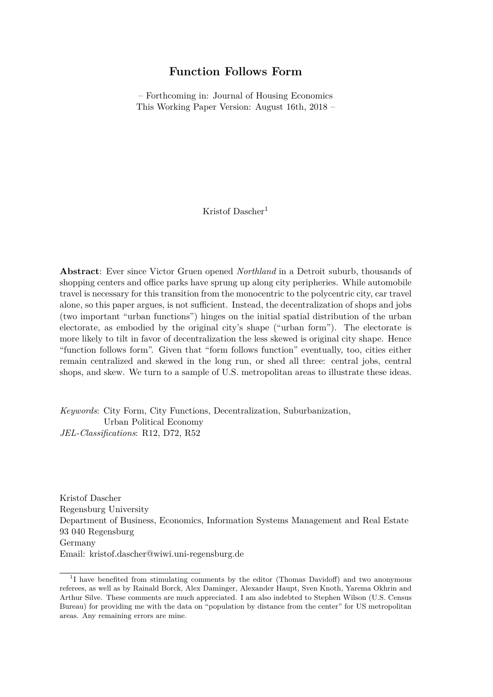# **Function Follows Form**

– Forthcoming in: Journal of Housing Economics This Working Paper Version: August 16th, 2018 –

Kristof Dascher<sup>1</sup>

**Abstract**: Ever since Victor Gruen opened *Northland* in a Detroit suburb, thousands of shopping centers and office parks have sprung up along city peripheries. While automobile travel is necessary for this transition from the monocentric to the polycentric city, car travel alone, so this paper argues, is not sufficient. Instead, the decentralization of shops and jobs (two important "urban functions") hinges on the initial spatial distribution of the urban electorate, as embodied by the original city's shape ("urban form"). The electorate is more likely to tilt in favor of decentralization the less skewed is original city shape. Hence "function follows form". Given that "form follows function" eventually, too, cities either remain centralized and skewed in the long run, or shed all three: central jobs, central shops, and skew. We turn to a sample of U.S. metropolitan areas to illustrate these ideas.

*Keywords*: City Form, City Functions, Decentralization, Suburbanization, Urban Political Economy *JEL-Classifications*: R12, D72, R52

Kristof Dascher Regensburg University Department of Business, Economics, Information Systems Management and Real Estate 93 040 Regensburg Germany Email: kristof.dascher@wiwi.uni-regensburg.de

<sup>&</sup>lt;sup>1</sup>I have benefited from stimulating comments by the editor (Thomas Davidoff) and two anonymous referees, as well as by Rainald Borck, Alex Daminger, Alexander Haupt, Sven Knoth, Yarema Okhrin and Arthur Silve. These comments are much appreciated. I am also indebted to Stephen Wilson (U.S. Census Bureau) for providing me with the data on "population by distance from the center" for US metropolitan areas. Any remaining errors are mine.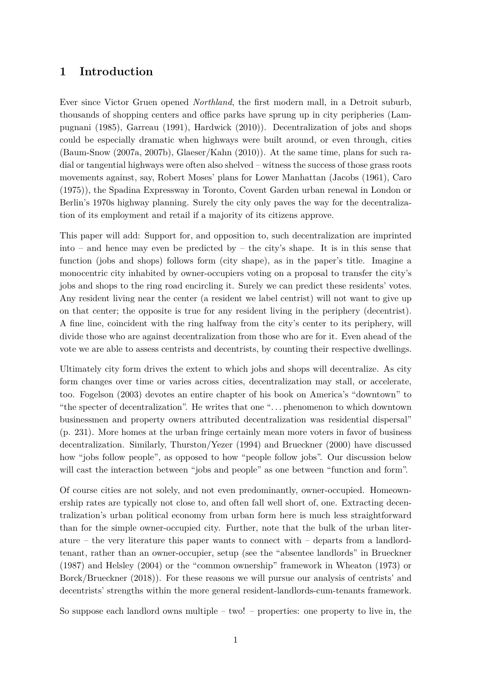# **1 Introduction**

Ever since Victor Gruen opened *Northland*, the first modern mall, in a Detroit suburb, thousands of shopping centers and office parks have sprung up in city peripheries (Lampugnani (1985), Garreau (1991), Hardwick (2010)). Decentralization of jobs and shops could be especially dramatic when highways were built around, or even through, cities (Baum-Snow (2007a, 2007b), Glaeser/Kahn (2010)). At the same time, plans for such radial or tangential highways were often also shelved – witness the success of those grass roots movements against, say, Robert Moses' plans for Lower Manhattan (Jacobs (1961), Caro (1975)), the Spadina Expressway in Toronto, Covent Garden urban renewal in London or Berlin's 1970s highway planning. Surely the city only paves the way for the decentralization of its employment and retail if a majority of its citizens approve.

This paper will add: Support for, and opposition to, such decentralization are imprinted into – and hence may even be predicted by – the city's shape. It is in this sense that function (jobs and shops) follows form (city shape), as in the paper's title. Imagine a monocentric city inhabited by owner-occupiers voting on a proposal to transfer the city's jobs and shops to the ring road encircling it. Surely we can predict these residents' votes. Any resident living near the center (a resident we label centrist) will not want to give up on that center; the opposite is true for any resident living in the periphery (decentrist). A fine line, coincident with the ring halfway from the city's center to its periphery, will divide those who are against decentralization from those who are for it. Even ahead of the vote we are able to assess centrists and decentrists, by counting their respective dwellings.

Ultimately city form drives the extent to which jobs and shops will decentralize. As city form changes over time or varies across cities, decentralization may stall, or accelerate, too. Fogelson (2003) devotes an entire chapter of his book on America's "downtown" to "the specter of decentralization". He writes that one ". . . phenomenon to which downtown businessmen and property owners attributed decentralization was residential dispersal" (p. 231). More homes at the urban fringe certainly mean more voters in favor of business decentralization. Similarly, Thurston/Yezer (1994) and Brueckner (2000) have discussed how "jobs follow people", as opposed to how "people follow jobs". Our discussion below will cast the interaction between "jobs and people" as one between "function and form".

Of course cities are not solely, and not even predominantly, owner-occupied. Homeownership rates are typically not close to, and often fall well short of, one. Extracting decentralization's urban political economy from urban form here is much less straightforward than for the simple owner-occupied city. Further, note that the bulk of the urban literature – the very literature this paper wants to connect with – departs from a landlordtenant, rather than an owner-occupier, setup (see the "absentee landlords" in Brueckner (1987) and Helsley (2004) or the "common ownership" framework in Wheaton (1973) or Borck/Brueckner (2018)). For these reasons we will pursue our analysis of centrists' and decentrists' strengths within the more general resident-landlords-cum-tenants framework.

So suppose each landlord owns multiple – two! – properties: one property to live in, the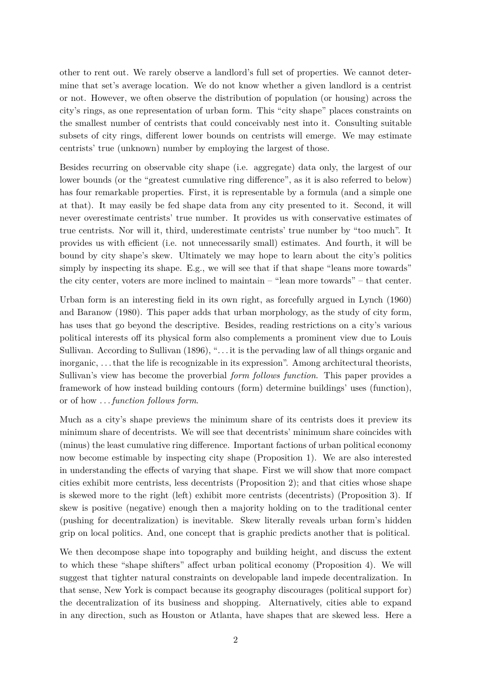other to rent out. We rarely observe a landlord's full set of properties. We cannot determine that set's average location. We do not know whether a given landlord is a centrist or not. However, we often observe the distribution of population (or housing) across the city's rings, as one representation of urban form. This "city shape" places constraints on the smallest number of centrists that could conceivably nest into it. Consulting suitable subsets of city rings, different lower bounds on centrists will emerge. We may estimate centrists' true (unknown) number by employing the largest of those.

Besides recurring on observable city shape (i.e. aggregate) data only, the largest of our lower bounds (or the "greatest cumulative ring difference", as it is also referred to below) has four remarkable properties. First, it is representable by a formula (and a simple one at that). It may easily be fed shape data from any city presented to it. Second, it will never overestimate centrists' true number. It provides us with conservative estimates of true centrists. Nor will it, third, underestimate centrists' true number by "too much". It provides us with efficient (i.e. not unnecessarily small) estimates. And fourth, it will be bound by city shape's skew. Ultimately we may hope to learn about the city's politics simply by inspecting its shape. E.g., we will see that if that shape "leans more towards" the city center, voters are more inclined to maintain – "lean more towards" – that center.

Urban form is an interesting field in its own right, as forcefully argued in Lynch (1960) and Baranow (1980). This paper adds that urban morphology, as the study of city form, has uses that go beyond the descriptive. Besides, reading restrictions on a city's various political interests off its physical form also complements a prominent view due to Louis Sullivan. According to Sullivan (1896), "... it is the pervading law of all things organic and inorganic, . . . that the life is recognizable in its expression". Among architectural theorists, Sullivan's view has become the proverbial *form follows function*. This paper provides a framework of how instead building contours (form) determine buildings' uses (function), or of how . . . *function follows form*.

Much as a city's shape previews the minimum share of its centrists does it preview its minimum share of decentrists. We will see that decentrists' minimum share coincides with (minus) the least cumulative ring difference. Important factions of urban political economy now become estimable by inspecting city shape (Proposition 1). We are also interested in understanding the effects of varying that shape. First we will show that more compact cities exhibit more centrists, less decentrists (Proposition 2); and that cities whose shape is skewed more to the right (left) exhibit more centrists (decentrists) (Proposition 3). If skew is positive (negative) enough then a majority holding on to the traditional center (pushing for decentralization) is inevitable. Skew literally reveals urban form's hidden grip on local politics. And, one concept that is graphic predicts another that is political.

We then decompose shape into topography and building height, and discuss the extent to which these "shape shifters" affect urban political economy (Proposition 4). We will suggest that tighter natural constraints on developable land impede decentralization. In that sense, New York is compact because its geography discourages (political support for) the decentralization of its business and shopping. Alternatively, cities able to expand in any direction, such as Houston or Atlanta, have shapes that are skewed less. Here a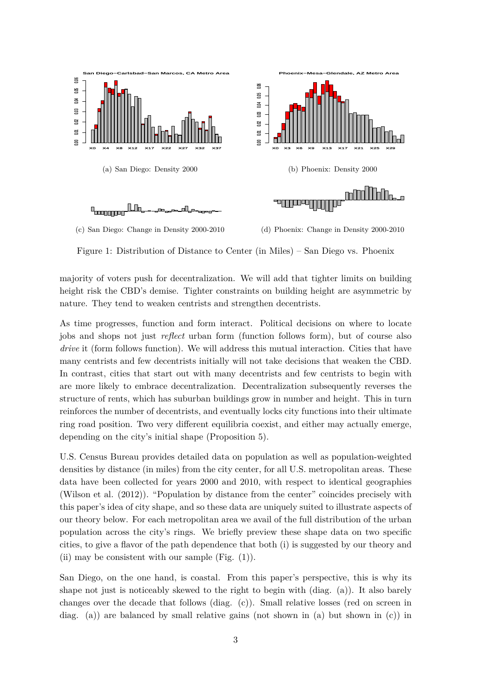

Figure 1: Distribution of Distance to Center (in Miles) – San Diego vs. Phoenix

majority of voters push for decentralization. We will add that tighter limits on building height risk the CBD's demise. Tighter constraints on building height are asymmetric by nature. They tend to weaken centrists and strengthen decentrists.

As time progresses, function and form interact. Political decisions on where to locate jobs and shops not just *reflect* urban form (function follows form), but of course also *drive* it (form follows function). We will address this mutual interaction. Cities that have many centrists and few decentrists initially will not take decisions that weaken the CBD. In contrast, cities that start out with many decentrists and few centrists to begin with are more likely to embrace decentralization. Decentralization subsequently reverses the structure of rents, which has suburban buildings grow in number and height. This in turn reinforces the number of decentrists, and eventually locks city functions into their ultimate ring road position. Two very different equilibria coexist, and either may actually emerge, depending on the city's initial shape (Proposition 5).

U.S. Census Bureau provides detailed data on population as well as population-weighted densities by distance (in miles) from the city center, for all U.S. metropolitan areas. These data have been collected for years 2000 and 2010, with respect to identical geographies (Wilson et al. (2012)). "Population by distance from the center" coincides precisely with this paper's idea of city shape, and so these data are uniquely suited to illustrate aspects of our theory below. For each metropolitan area we avail of the full distribution of the urban population across the city's rings. We briefly preview these shape data on two specific cities, to give a flavor of the path dependence that both (i) is suggested by our theory and (ii) may be consistent with our sample  $(Fig. (1))$ .

San Diego, on the one hand, is coastal. From this paper's perspective, this is why its shape not just is noticeably skewed to the right to begin with (diag. (a)). It also barely changes over the decade that follows (diag. (c)). Small relative losses (red on screen in diag. (a)) are balanced by small relative gains (not shown in (a) but shown in (c)) in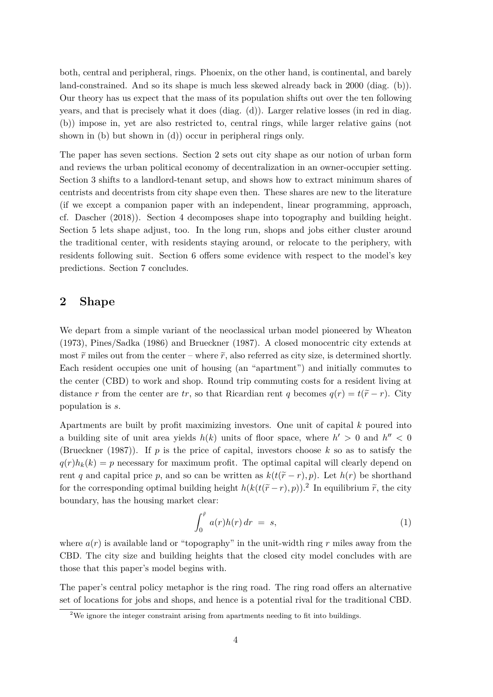both, central and peripheral, rings. Phoenix, on the other hand, is continental, and barely land-constrained. And so its shape is much less skewed already back in 2000 (diag. (b)). Our theory has us expect that the mass of its population shifts out over the ten following years, and that is precisely what it does (diag. (d)). Larger relative losses (in red in diag. (b)) impose in, yet are also restricted to, central rings, while larger relative gains (not shown in (b) but shown in (d)) occur in peripheral rings only.

The paper has seven sections. Section 2 sets out city shape as our notion of urban form and reviews the urban political economy of decentralization in an owner-occupier setting. Section 3 shifts to a landlord-tenant setup, and shows how to extract minimum shares of centrists and decentrists from city shape even then. These shares are new to the literature (if we except a companion paper with an independent, linear programming, approach, cf. Dascher (2018)). Section 4 decomposes shape into topography and building height. Section 5 lets shape adjust, too. In the long run, shops and jobs either cluster around the traditional center, with residents staying around, or relocate to the periphery, with residents following suit. Section 6 offers some evidence with respect to the model's key predictions. Section 7 concludes.

### **2 Shape**

We depart from a simple variant of the neoclassical urban model pioneered by Wheaton (1973), Pines/Sadka (1986) and Brueckner (1987). A closed monocentric city extends at most  $\tilde{r}$  miles out from the center – where  $\tilde{r}$ , also referred as city size, is determined shortly. Each resident occupies one unit of housing (an "apartment") and initially commutes to the center (CBD) to work and shop. Round trip commuting costs for a resident living at distance *r* from the center are *tr*, so that Ricardian rent *q* becomes  $q(r) = t(\tilde{r} - r)$ . City population is *s*.

Apartments are built by profit maximizing investors. One unit of capital *k* poured into a building site of unit area yields  $h(k)$  units of floor space, where  $h' > 0$  and  $h'' < 0$ (Brueckner (1987)). If *p* is the price of capital, investors choose *k* so as to satisfy the  $q(r)h_k(k) = p$  necessary for maximum profit. The optimal capital will clearly depend on rent *q* and capital price *p*, and so can be written as  $k(t(\tilde{r}-r), p)$ . Let  $h(r)$  be shorthand for the corresponding optimal building height  $h(k(t(\tilde{r}-r), p))$ .<sup>2</sup> In equilibrium  $\tilde{r}$ , the city boundary, has the housing market clear:

$$
\int_0^{\tilde{r}} a(r)h(r) dr = s,
$$
\n(1)

where  $a(r)$  is available land or "topography" in the unit-width ring  $r$  miles away from the CBD. The city size and building heights that the closed city model concludes with are those that this paper's model begins with.

The paper's central policy metaphor is the ring road. The ring road offers an alternative set of locations for jobs and shops, and hence is a potential rival for the traditional CBD.

<sup>&</sup>lt;sup>2</sup>We ignore the integer constraint arising from apartments needing to fit into buildings.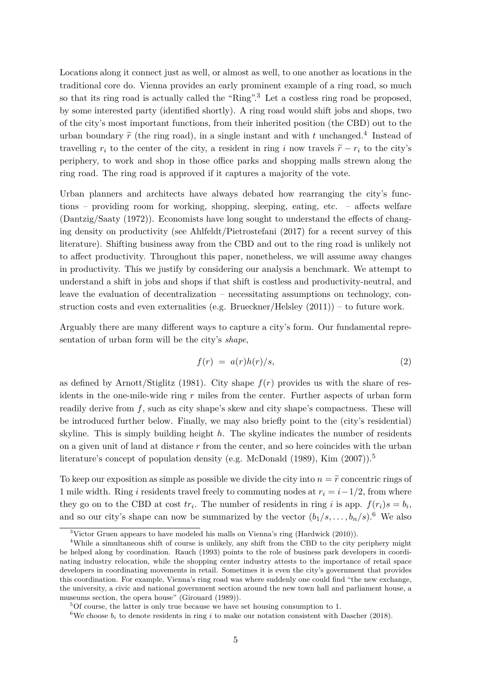Locations along it connect just as well, or almost as well, to one another as locations in the traditional core do. Vienna provides an early prominent example of a ring road, so much so that its ring road is actually called the "Ring".<sup>3</sup> Let a costless ring road be proposed, by some interested party (identified shortly). A ring road would shift jobs and shops, two of the city's most important functions, from their inherited position (the CBD) out to the urban boundary  $\tilde{r}$  (the ring road), in a single instant and with *t* unchanged.<sup>4</sup> Instead of travelling  $r_i$  to the center of the city, a resident in ring *i* now travels  $\tilde{r} - r_i$  to the city's periphery, to work and shop in those office parks and shopping malls strewn along the ring road. The ring road is approved if it captures a majority of the vote.

Urban planners and architects have always debated how rearranging the city's functions – providing room for working, shopping, sleeping, eating, etc. – affects welfare (Dantzig/Saaty (1972)). Economists have long sought to understand the effects of changing density on productivity (see Ahlfeldt/Pietrostefani (2017) for a recent survey of this literature). Shifting business away from the CBD and out to the ring road is unlikely not to affect productivity. Throughout this paper, nonetheless, we will assume away changes in productivity. This we justify by considering our analysis a benchmark. We attempt to understand a shift in jobs and shops if that shift is costless and productivity-neutral, and leave the evaluation of decentralization – necessitating assumptions on technology, construction costs and even externalities (e.g. Brueckner/Helsley  $(2011)$ ) – to future work.

Arguably there are many different ways to capture a city's form. Our fundamental representation of urban form will be the city's *shape*,

$$
f(r) = a(r)h(r)/s,\t\t(2)
$$

as defined by Arnott/Stiglitz (1981). City shape  $f(r)$  provides us with the share of residents in the one-mile-wide ring *r* miles from the center. Further aspects of urban form readily derive from f, such as city shape's skew and city shape's compactness. These will be introduced further below. Finally, we may also briefly point to the (city's residential) skyline. This is simply building height *h*. The skyline indicates the number of residents on a given unit of land at distance *r* from the center, and so here coincides with the urban literature's concept of population density (e.g. McDonald  $(1989)$ , Kim  $(2007)$ ).<sup>5</sup>

To keep our exposition as simple as possible we divide the city into  $n = \tilde{r}$  concentric rings of 1 mile width. Ring *i* residents travel freely to commuting nodes at  $r_i = i - 1/2$ , from where they go on to the CBD at cost  $tr_i$ . The number of residents in ring *i* is app.  $f(r_i)s = b_i$ , and so our city's shape can now be summarized by the vector  $(b_1/s, \ldots, b_n/s)$ .<sup>6</sup> We also

 $3$ Victor Gruen appears to have modeled his malls on Vienna's ring (Hardwick (2010)).

<sup>&</sup>lt;sup>4</sup>While a simultaneous shift of course is unlikely, any shift from the CBD to the city periphery might be helped along by coordination. Rauch (1993) points to the role of business park developers in coordinating industry relocation, while the shopping center industry attests to the importance of retail space developers in coordinating movements in retail. Sometimes it is even the city's government that provides this coordination. For example, Vienna's ring road was where suddenly one could find "the new exchange, the university, a civic and national government section around the new town hall and parliament house, a museums section, the opera house" (Girouard (1989)).

 ${}^{5}$ Of course, the latter is only true because we have set housing consumption to 1.

<sup>&</sup>lt;sup>6</sup>We choose  $b_i$  to denote residents in ring *i* to make our notation consistent with Dascher (2018).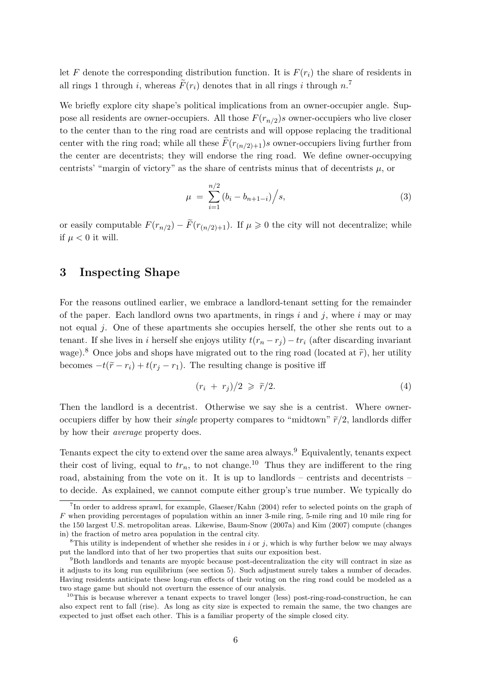let *F* denote the corresponding distribution function. It is  $F(r_i)$  the share of residents in all rings 1 through *i*, whereas  $\tilde{F}(r_i)$  denotes that in all rings *i* through  $n$ .<sup>7</sup>

We briefly explore city shape's political implications from an owner-occupier angle. Suppose all residents are owner-occupiers. All those  $F(r_{n/2})$ s owner-occupiers who live closer to the center than to the ring road are centrists and will oppose replacing the traditional center with the ring road; while all these  $\widetilde{F}(r_{(n/2)+1})$ *s* owner-occupiers living further from the center are decentrists; they will endorse the ring road. We define owner-occupying centrists' "margin of victory" as the share of centrists minus that of decentrists *µ*, or

$$
\mu = \sum_{i=1}^{n/2} (b_i - b_{n+1-i}) / s,
$$
\n(3)

or easily computable  $F(r_{n/2}) - \tilde{F}(r_{(n/2)+1})$ . If  $\mu \geq 0$  the city will not decentralize; while if  $\mu < 0$  it will.

# **3 Inspecting Shape**

For the reasons outlined earlier, we embrace a landlord-tenant setting for the remainder of the paper. Each landlord owns two apartments, in rings *i* and *j*, where *i* may or may not equal *j*. One of these apartments she occupies herself, the other she rents out to a tenant. If she lives in *i* herself she enjoys utility  $t(r_n - r_j) - tr_i$  (after discarding invariant wage).<sup>8</sup> Once jobs and shops have migrated out to the ring road (located at  $\tilde{r}$ ), her utility becomes  $-t(\tilde{r} - r_i) + t(r_j - r_1)$ . The resulting change is positive iff

$$
(r_i + r_j)/2 \geqslant \tilde{r}/2. \tag{4}
$$

Then the landlord is a decentrist. Otherwise we say she is a centrist. Where owneroccupiers differ by how their *single* property compares to "midtown"  $\tilde{r}/2$ , landlords differ by how their *average* property does.

Tenants expect the city to extend over the same area always.<sup>9</sup> Equivalently, tenants expect their cost of living, equal to  $tr_n$ , to not change.<sup>10</sup> Thus they are indifferent to the ring road, abstaining from the vote on it. It is up to landlords – centrists and decentrists – to decide. As explained, we cannot compute either group's true number. We typically do

<sup>7</sup> In order to address sprawl, for example, Glaeser/Kahn (2004) refer to selected points on the graph of *F* when providing percentages of population within an inner 3-mile ring, 5-mile ring and 10 mile ring for the 150 largest U.S. metropolitan areas. Likewise, Baum-Snow (2007a) and Kim (2007) compute (changes in) the fraction of metro area population in the central city.

<sup>&</sup>lt;sup>8</sup>This utility is independent of whether she resides in  $i$  or  $j$ , which is why further below we may always put the landlord into that of her two properties that suits our exposition best.

<sup>&</sup>lt;sup>9</sup>Both landlords and tenants are myopic because post-decentralization the city will contract in size as it adjusts to its long run equilibrium (see section 5). Such adjustment surely takes a number of decades. Having residents anticipate these long-run effects of their voting on the ring road could be modeled as a two stage game but should not overturn the essence of our analysis.

 $10$ This is because wherever a tenant expects to travel longer (less) post-ring-road-construction, he can also expect rent to fall (rise). As long as city size is expected to remain the same, the two changes are expected to just offset each other. This is a familiar property of the simple closed city.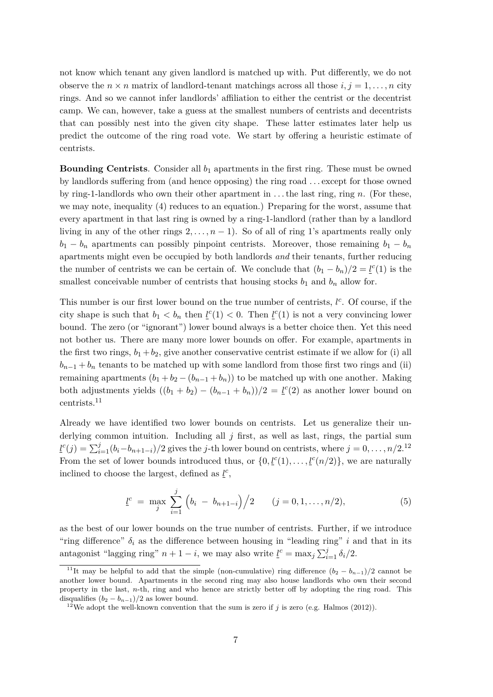not know which tenant any given landlord is matched up with. Put differently, we do not observe the  $n \times n$  matrix of landlord-tenant matchings across all those  $i, j = 1, \ldots, n$  city rings. And so we cannot infer landlords' affiliation to either the centrist or the decentrist camp. We can, however, take a guess at the smallest numbers of centrists and decentrists that can possibly nest into the given city shape. These latter estimates later help us predict the outcome of the ring road vote. We start by offering a heuristic estimate of centrists.

**Bounding Centrists**. Consider all *b*<sup>1</sup> apartments in the first ring. These must be owned by landlords suffering from (and hence opposing) the ring road . . . except for those owned by ring-1-landlords who own their other apartment in . . . the last ring, ring *n*. (For these, we may note, inequality (4) reduces to an equation.) Preparing for the worst, assume that every apartment in that last ring is owned by a ring-1-landlord (rather than by a landlord living in any of the other rings  $2, \ldots, n-1$ ). So of all of ring 1's apartments really only  $b_1 - b_n$  apartments can possibly pinpoint centrists. Moreover, those remaining  $b_1 - b_n$ apartments might even be occupied by both landlords *and* their tenants, further reducing the number of centrists we can be certain of. We conclude that  $(b_1 - b_n)/2 = \underline{l}^c(1)$  is the smallest conceivable number of centrists that housing stocks  $b_1$  and  $b_n$  allow for.

This number is our first lower bound on the true number of centrists,  $l^c$ . Of course, if the city shape is such that  $b_1 < b_n$  then  $\underline{l}^c(1) < 0$ . Then  $\underline{l}^c(1)$  is not a very convincing lower bound. The zero (or "ignorant") lower bound always is a better choice then. Yet this need not bother us. There are many more lower bounds on offer. For example, apartments in the first two rings,  $b_1 + b_2$ , give another conservative centrist estimate if we allow for (i) all  $b_{n-1} + b_n$  tenants to be matched up with some landlord from those first two rings and (ii) remaining apartments  $(b_1 + b_2 - (b_{n-1} + b_n))$  to be matched up with one another. Making both adjustments yields  $((b_1 + b_2) - (b_{n-1} + b_n))/2 = \underline{l}^c(2)$  as another lower bound on centrists.<sup>11</sup>

Already we have identified two lower bounds on centrists. Let us generalize their underlying common intuition. Including all *j* first, as well as last, rings, the partial sum  $\underline{l}^c(j) = \sum_{i=1}^j (b_i - b_{n+1-i})/2$  gives the *j*-th lower bound on centrists, where  $j = 0, \ldots, n/2$ .<sup>12</sup> From the set of lower bounds introduced thus, or  $\{0, \underline{l}^c(1), \ldots, \underline{l}^c(n/2)\}\)$ , we are naturally inclined to choose the largest, defined as  $\underline{l}^c$ ,

$$
\underline{l}^c = \max_j \sum_{i=1}^j \left( b_i - b_{n+1-i} \right) / 2 \qquad (j = 0, 1, \dots, n/2), \tag{5}
$$

as the best of our lower bounds on the true number of centrists. Further, if we introduce "ring difference"  $\delta_i$  as the difference between housing in "leading ring" *i* and that in its antagonist "lagging ring"  $n + 1 - i$ , we may also write  $\underline{l}^c = \max_j \sum_{i=1}^j \delta_i/2$ .

<sup>&</sup>lt;sup>11</sup>It may be helpful to add that the simple (non-cumulative) ring difference  $(b_2 - b_{n-1})/2$  cannot be another lower bound. Apartments in the second ring may also house landlords who own their second property in the last, *n*-th, ring and who hence are strictly better off by adopting the ring road. This disqualifies  $(b_2 - b_{n-1})/2$  as lower bound.

<sup>&</sup>lt;sup>12</sup>We adopt the well-known convention that the sum is zero if  $j$  is zero (e.g. Halmos (2012)).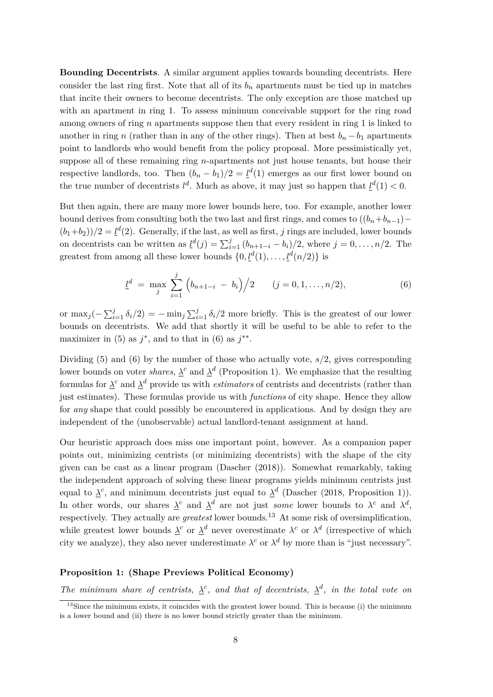**Bounding Decentrists**. A similar argument applies towards bounding decentrists. Here consider the last ring first. Note that all of its  $b_n$  apartments must be tied up in matches that incite their owners to become decentrists. The only exception are those matched up with an apartment in ring 1. To assess minimum conceivable support for the ring road among owners of ring *n* apartments suppose then that every resident in ring 1 is linked to another in ring *n* (rather than in any of the other rings). Then at best  $b_n - b_1$  apartments point to landlords who would benefit from the policy proposal. More pessimistically yet, suppose all of these remaining ring *n*-apartments not just house tenants, but house their respective landlords, too. Then  $(b_n - b_1)/2 = \underline{l}^d(1)$  emerges as our first lower bound on the true number of decentrists  $l^d$ . Much as above, it may just so happen that  $l^d(1) < 0$ .

But then again, there are many more lower bounds here, too. For example, another lower bound derives from consulting both the two last and first rings, and comes to  $((b_n+b_{n-1}) (b_1+b_2)/2 = \underline{l}^d(2)$ . Generally, if the last, as well as first, *j* rings are included, lower bounds on decentrists can be written as  $\underline{l}^d(j) = \sum_{i=1}^j (b_{n+1-i} - b_i)/2$ , where  $j = 0, \ldots, n/2$ . The greatest from among all these lower bounds  $\{0, \underline{l}^d(1), \ldots, \underline{l}^d(n/2)\}$  is

$$
\underline{l}^d = \max_j \sum_{i=1}^j \left( b_{n+1-i} - b_i \right) / 2 \qquad (j = 0, 1, \dots, n/2), \tag{6}
$$

or  $\max_j(-\sum_{i=1}^j \delta_i/2) = -\min_j\sum_{i=1}^j \delta_i/2$  more briefly. This is the greatest of our lower bounds on decentrists. We add that shortly it will be useful to be able to refer to the maximizer in (5) as  $j^*$ , and to that in (6) as  $j^{**}$ .

Dividing (5) and (6) by the number of those who actually vote, *s/*2, gives corresponding lower bounds on voter *shares*,  $\lambda^c$  and  $\lambda^d$  (Proposition 1). We emphasize that the resulting formulas for  $\lambda^c$  and  $\lambda^d$  provide us with *estimators* of centrists and decentrists (rather than just estimates). These formulas provide us with *functions* of city shape. Hence they allow for *any* shape that could possibly be encountered in applications. And by design they are independent of the (unobservable) actual landlord-tenant assignment at hand.

Our heuristic approach does miss one important point, however. As a companion paper points out, minimizing centrists (or minimizing decentrists) with the shape of the city given can be cast as a linear program (Dascher (2018)). Somewhat remarkably, taking the independent approach of solving these linear programs yields minimum centrists just equal to  $\lambda^c$ , and minimum decentrists just equal to  $\lambda^d$  (Dascher (2018, Proposition 1)). In other words, our shares  $\lambda^c$  and  $\lambda^d$  are not just *some* lower bounds to  $\lambda^c$  and  $\lambda^d$ , respectively. They actually are *greatest* lower bounds.<sup>13</sup> At some risk of oversimplification, while greatest lower bounds  $\lambda^c$  or  $\lambda^d$  never overestimate  $\lambda^c$  or  $\lambda^d$  (irrespective of which city we analyze), they also never underestimate  $\lambda^c$  or  $\lambda^d$  by more than is "just necessary".

#### **Proposition 1: (Shape Previews Political Economy)**

*The minimum share of centrists,*  $\lambda^c$ , and that of decentrists,  $\lambda^d$ , in the total vote on

 $13$ Since the minimum exists, it coincides with the greatest lower bound. This is because (i) the minimum is a lower bound and (ii) there is no lower bound strictly greater than the minimum.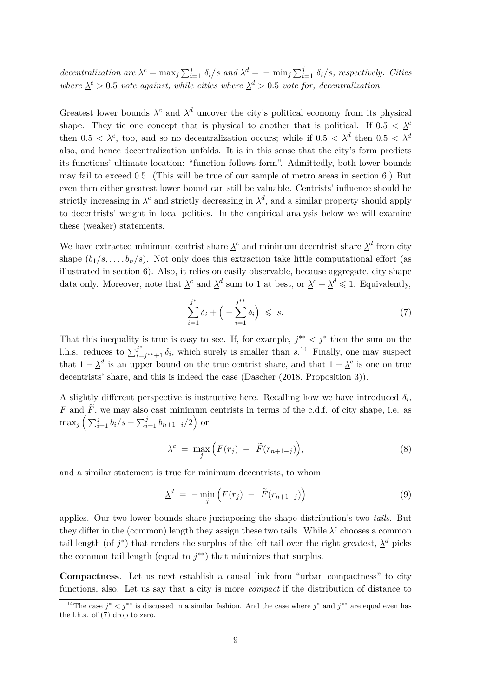decentralization are  $\underline{\lambda}^c = \max_j \sum_{i=1}^j \delta_i / s$  and  $\underline{\lambda}^d = -\min_j \sum_{i=1}^j \delta_i / s$ , respectively. Cities *where*  $\lambda^c > 0.5$  *vote against, while cities where*  $\lambda^d > 0.5$  *vote for, decentralization.* 

Greatest lower bounds  $\lambda^c$  and  $\lambda^d$  uncover the city's political economy from its physical shape. They tie one concept that is physical to another that is political. If  $0.5 < \lambda^c$ then  $0.5 < \lambda^c$ , too, and so no decentralization occurs; while if  $0.5 < \lambda^d$  then  $0.5 < \lambda^d$ also, and hence decentralization unfolds. It is in this sense that the city's form predicts its functions' ultimate location: "function follows form". Admittedly, both lower bounds may fail to exceed 0.5. (This will be true of our sample of metro areas in section 6.) But even then either greatest lower bound can still be valuable. Centrists' influence should be strictly increasing in  $\lambda^c$  and strictly decreasing in  $\lambda^d$ , and a similar property should apply to decentrists' weight in local politics. In the empirical analysis below we will examine these (weaker) statements.

We have extracted minimum centrist share  $\lambda^c$  and minimum decentrist share  $\lambda^d$  from city shape  $(b_1/s, \ldots, b_n/s)$ . Not only does this extraction take little computational effort (as illustrated in section 6). Also, it relies on easily observable, because aggregate, city shape data only. Moreover, note that  $\lambda^c$  and  $\lambda^d$  sum to 1 at best, or  $\lambda^c + \lambda^d \leq 1$ . Equivalently,

$$
\sum_{i=1}^{j^*} \delta_i + \left( -\sum_{i=1}^{j^{**}} \delta_i \right) \leqslant s. \tag{7}
$$

That this inequality is true is easy to see. If, for example,  $j^{**} < j^*$  then the sum on the l.h.s. reduces to  $\sum_{i=1}^{j^*}$  $j^*$   $\delta_i$ , which surely is smaller than *s*.<sup>14</sup> Finally, one may suspect that  $1 - \lambda^d$  is an upper bound on the true centrist share, and that  $1 - \lambda^c$  is one on true decentrists' share, and this is indeed the case (Dascher (2018, Proposition 3)).

A slightly different perspective is instructive here. Recalling how we have introduced  $\delta_i$ , *F* and  $\tilde{F}$ , we may also cast minimum centrists in terms of the c.d.f. of city shape, i.e. as  $\max_j \left( \sum_{i=1}^j b_i / s - \sum_{i=1}^j b_{n+1-i} / 2 \right)$  or

$$
\underline{\lambda}^c = \max_j \Big( F(r_j) - \widetilde{F}(r_{n+1-j}) \Big), \tag{8}
$$

and a similar statement is true for minimum decentrists, to whom

$$
\underline{\lambda}^d = -\min_j \left( F(r_j) - \widetilde{F}(r_{n+1-j}) \right) \tag{9}
$$

applies. Our two lower bounds share juxtaposing the shape distribution's two *tails*. But they differ in the (common) length they assign these two tails. While  $\lambda^c$  chooses a common tail length (of  $j^*$ ) that renders the surplus of the left tail over the right greatest,  $\lambda^d$  picks the common tail length (equal to  $j^{**}$ ) that minimizes that surplus.

**Compactness**. Let us next establish a causal link from "urban compactness" to city functions, also. Let us say that a city is more *compact* if the distribution of distance to

<sup>&</sup>lt;sup>14</sup>The case  $j^* < j^{**}$  is discussed in a similar fashion. And the case where  $j^*$  and  $j^{**}$  are equal even has the l.h.s. of (7) drop to zero.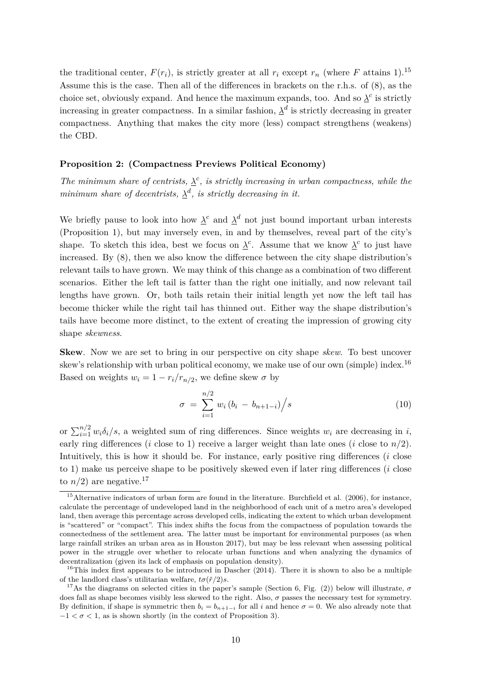the traditional center,  $F(r_i)$ , is strictly greater at all  $r_i$  except  $r_n$  (where F attains 1).<sup>15</sup> Assume this is the case. Then all of the differences in brackets on the r.h.s. of (8), as the choice set, obviously expand. And hence the maximum expands, too. And so  $\lambda^c$  is strictly increasing in greater compactness. In a similar fashion,  $\lambda^d$  is strictly decreasing in greater compactness. Anything that makes the city more (less) compact strengthens (weakens) the CBD.

#### **Proposition 2: (Compactness Previews Political Economy)**

*The minimum share of centrists,*  $\lambda^c$ , *is strictly increasing in urban compactness, while the minimum share of decentrists,*  $\lambda^d$ *, is strictly decreasing in it.* 

We briefly pause to look into how  $\lambda^c$  and  $\lambda^d$  not just bound important urban interests (Proposition 1), but may inversely even, in and by themselves, reveal part of the city's shape. To sketch this idea, best we focus on  $\lambda^c$ . Assume that we know  $\lambda^c$  to just have increased. By (8), then we also know the difference between the city shape distribution's relevant tails to have grown. We may think of this change as a combination of two different scenarios. Either the left tail is fatter than the right one initially, and now relevant tail lengths have grown. Or, both tails retain their initial length yet now the left tail has become thicker while the right tail has thinned out. Either way the shape distribution's tails have become more distinct, to the extent of creating the impression of growing city shape *skewness*.

**Skew**. Now we are set to bring in our perspective on city shape *skew*. To best uncover skew's relationship with urban political economy, we make use of our own (simple) index.<sup>16</sup> Based on weights  $w_i = 1 - r_i/r_{n/2}$ , we define skew  $\sigma$  by

$$
\sigma = \sum_{i=1}^{n/2} w_i (b_i - b_{n+1-i}) / s
$$
\n(10)

or  $\sum_{i=1}^{n/2} w_i \delta_i / s$ , a weighted sum of ring differences. Since weights  $w_i$  are decreasing in *i*, early ring differences (*i* close to 1) receive a larger weight than late ones (*i* close to  $n/2$ ). Intuitively, this is how it should be. For instance, early positive ring differences (*i* close to 1) make us perceive shape to be positively skewed even if later ring differences (*i* close to  $n/2$ ) are negative.<sup>17</sup>

 $15$ Alternative indicators of urban form are found in the literature. Burchfield et al. (2006), for instance, calculate the percentage of undeveloped land in the neighborhood of each unit of a metro area's developed land, then average this percentage across developed cells, indicating the extent to which urban development is "scattered" or "compact". This index shifts the focus from the compactness of population towards the connectedness of the settlement area. The latter must be important for environmental purposes (as when large rainfall strikes an urban area as in Houston 2017), but may be less relevant when assessing political power in the struggle over whether to relocate urban functions and when analyzing the dynamics of decentralization (given its lack of emphasis on population density).

 $16$ This index first appears to be introduced in Dascher (2014). There it is shown to also be a multiple of the landlord class's utilitarian welfare,  $t\sigma(\tilde{r}/2)s$ .

<sup>&</sup>lt;sup>17</sup>As the diagrams on selected cities in the paper's sample (Section 6, Fig. (2)) below will illustrate,  $\sigma$ does fall as shape becomes visibly less skewed to the right. Also, *σ* passes the necessary test for symmetry. By definition, if shape is symmetric then  $b_i = b_{n+1-i}$  for all *i* and hence  $\sigma = 0$ . We also already note that  $-1 < \sigma < 1$ , as is shown shortly (in the context of Proposition 3).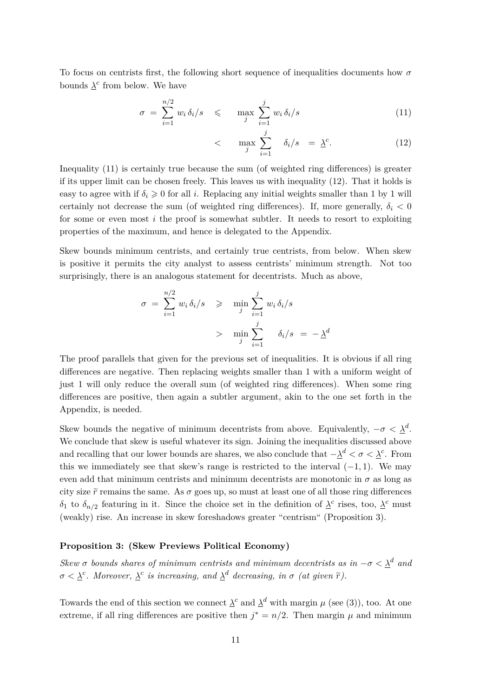To focus on centrists first, the following short sequence of inequalities documents how *σ* bounds  $\lambda^c$  from below. We have

$$
\sigma = \sum_{i=1}^{n/2} w_i \, \delta_i / s \quad \leqslant \quad \max_j \sum_{i=1}^j w_i \, \delta_i / s \tag{11}
$$

$$
\langle \max_{j} \sum_{i=1}^{j} \delta_{i}/s = \underline{\lambda}^{c}.
$$
 (12)

Inequality (11) is certainly true because the sum (of weighted ring differences) is greater if its upper limit can be chosen freely. This leaves us with inequality (12). That it holds is easy to agree with if  $\delta_i \geq 0$  for all *i*. Replacing any initial weights smaller than 1 by 1 will certainly not decrease the sum (of weighted ring differences). If, more generally,  $\delta_i < 0$ for some or even most *i* the proof is somewhat subtler. It needs to resort to exploiting properties of the maximum, and hence is delegated to the Appendix.

Skew bounds minimum centrists, and certainly true centrists, from below. When skew is positive it permits the city analyst to assess centrists' minimum strength. Not too surprisingly, there is an analogous statement for decentrists. Much as above,

$$
\sigma = \sum_{i=1}^{n/2} w_i \, \delta_i / s \quad \geqslant \quad \min_j \sum_{i=1}^j w_i \, \delta_i / s
$$
\n
$$
> \quad \min_j \sum_{i=1}^j \quad \delta_i / s = -\Delta^d
$$

The proof parallels that given for the previous set of inequalities. It is obvious if all ring differences are negative. Then replacing weights smaller than 1 with a uniform weight of just 1 will only reduce the overall sum (of weighted ring differences). When some ring differences are positive, then again a subtler argument, akin to the one set forth in the Appendix, is needed.

Skew bounds the negative of minimum decentrists from above. Equivalently,  $-\sigma < \underline{\lambda}^d$ . We conclude that skew is useful whatever its sign. Joining the inequalities discussed above and recalling that our lower bounds are shares, we also conclude that  $-\underline{\lambda}^d < \sigma < \underline{\lambda}^c$ . From this we immediately see that skew's range is restricted to the interval  $(-1, 1)$ . We may even add that minimum centrists and minimum decentrists are monotonic in  $\sigma$  as long as city size  $\tilde{r}$  remains the same. As  $\sigma$  goes up, so must at least one of all those ring differences *δ*<sub>1</sub> to *δ*<sub>*n*</sub>/<sub>2</sub> featuring in it. Since the choice set in the definition of  $λ<sup>c</sup>$  rises, too,  $λ<sup>c</sup>$  must</u></u> (weakly) rise. An increase in skew foreshadows greater "centrism" (Proposition 3).

#### **Proposition 3: (Skew Previews Political Economy)**

*Skew σ bounds shares of minimum centrists and minimum decentrists as in*  $-\sigma < \underline{\lambda}^d$  and  $\sigma < \underline{\lambda}^c$ . Moreover,  $\underline{\lambda}^c$  is increasing, and  $\underline{\lambda}^d$  decreasing, in  $\sigma$  (at given  $\tilde{r}$ ).

Towards the end of this section we connect  $\lambda^c$  and  $\lambda^d$  with margin  $\mu$  (see (3)), too. At one extreme, if all ring differences are positive then  $j^* = n/2$ . Then margin  $\mu$  and minimum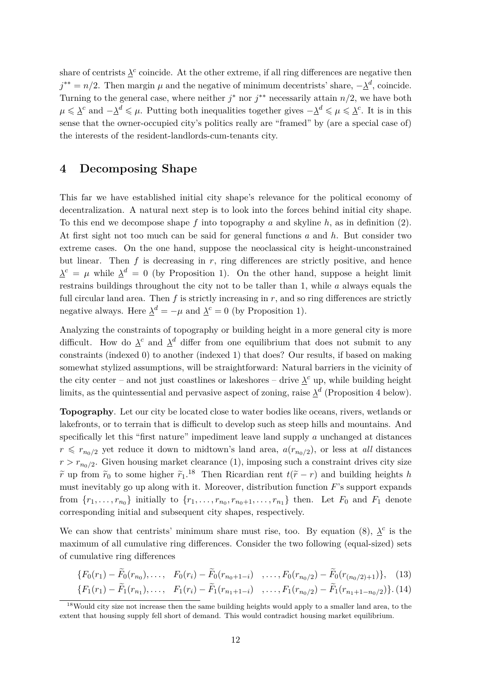share of centrists  $\lambda^c$  coincide. At the other extreme, if all ring differences are negative then  $j^{**} = n/2$ . Then margin  $\mu$  and the negative of minimum decentrists' share,  $-\lambda^d$ , coincide. Turning to the general case, where neither  $j^*$  nor  $j^{**}$  necessarily attain  $n/2$ , we have both  $\mu \leq \underline{\lambda}^c$  and  $-\underline{\lambda}^d \leq \mu$ . Putting both inequalities together gives  $-\underline{\lambda}^d \leq \mu \leq \underline{\lambda}^c$ . It is in this sense that the owner-occupied city's politics really are "framed" by (are a special case of) the interests of the resident-landlords-cum-tenants city.

## **4 Decomposing Shape**

This far we have established initial city shape's relevance for the political economy of decentralization. A natural next step is to look into the forces behind initial city shape. To this end we decompose shape *f* into topography *a* and skyline *h*, as in definition (2). At first sight not too much can be said for general functions *a* and *h*. But consider two extreme cases. On the one hand, suppose the neoclassical city is height-unconstrained but linear. Then  $f$  is decreasing in  $r$ , ring differences are strictly positive, and hence  $\lambda^c = \mu$  while  $\lambda^d = 0$  (by Proposition 1). On the other hand, suppose a height limit restrains buildings throughout the city not to be taller than 1, while *a* always equals the full circular land area. Then  $f$  is strictly increasing in  $r$ , and so ring differences are strictly negative always. Here  $\lambda^d = -\mu$  and  $\lambda^c = 0$  (by Proposition 1).

Analyzing the constraints of topography or building height in a more general city is more difficult. How do  $\lambda^c$  and  $\lambda^d$  differ from one equilibrium that does not submit to any constraints (indexed 0) to another (indexed 1) that does? Our results, if based on making somewhat stylized assumptions, will be straightforward: Natural barriers in the vicinity of the city center – and not just coastlines or lakeshores – drive  $\lambda^c$  up, while building height limits, as the quintessential and pervasive aspect of zoning, raise  $\lambda^d$  (Proposition 4 below).

**Topography**. Let our city be located close to water bodies like oceans, rivers, wetlands or lakefronts, or to terrain that is difficult to develop such as steep hills and mountains. And specifically let this "first nature" impediment leave land supply *a* unchanged at distances  $r \leq r_{n_0/2}$  yet reduce it down to midtown's land area,  $a(r_{n_0/2})$ , or less at *all* distances  $r > r_{n_0/2}$ . Given housing market clearance (1), imposing such a constraint drives city size *r*e up from  $\tilde{r}_0$  to some higher  $\tilde{r}_1$ .<sup>18</sup> Then Ricardian rent  $t(\tilde{r}-r)$  and building heights *h* must inevitably go up along with it. Moreover, distribution function *F*'s support expands from  $\{r_1, \ldots, r_{n_0}\}$  initially to  $\{r_1, \ldots, r_{n_0}, r_{n_0+1}, \ldots, r_{n_1}\}$  then. Let  $F_0$  and  $F_1$  denote corresponding initial and subsequent city shapes, respectively.

We can show that centrists' minimum share must rise, too. By equation (8),  $\lambda^c$  is the maximum of all cumulative ring differences. Consider the two following (equal-sized) sets of cumulative ring differences

$$
\{F_0(r_1) - \widetilde{F}_0(r_{n_0}), \ldots, F_0(r_i) - \widetilde{F}_0(r_{n_0+1-i}) \quad, \ldots, F_0(r_{n_0/2}) - \widetilde{F}_0(r_{(n_0/2)+1})\}, \quad (13)
$$

$$
\{F_1(r_1) - \widetilde{F}_1(r_{n_1}), \ldots, F_1(r_i) - \widetilde{F}_1(r_{n_1+1-i}) \ldots, F_1(r_{n_0/2}) - \widetilde{F}_1(r_{n_1+1-n_0/2})\}.\tag{14}
$$

<sup>&</sup>lt;sup>18</sup>Would city size not increase then the same building heights would apply to a smaller land area, to the extent that housing supply fell short of demand. This would contradict housing market equilibrium.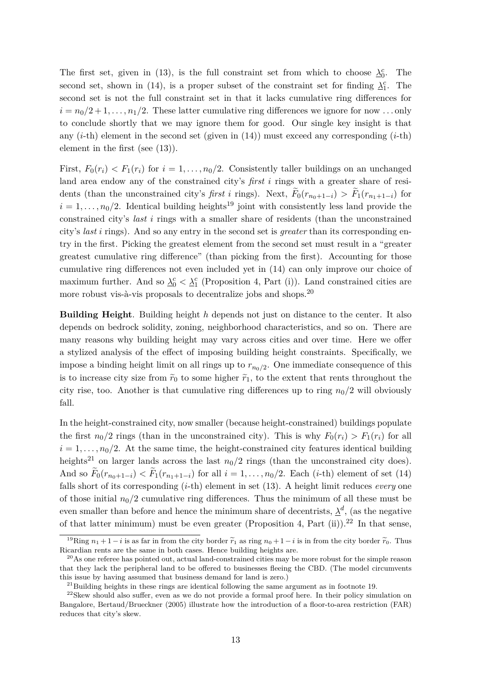The first set, given in (13), is the full constraint set from which to choose  $\lambda_0^c$ . The second set, shown in (14), is a proper subset of the constraint set for finding  $\lambda_1^c$ . The second set is not the full constraint set in that it lacks cumulative ring differences for  $i = n_0/2 + 1, \ldots, n_1/2$ . These latter cumulative ring differences we ignore for now ... only to conclude shortly that we may ignore them for good. Our single key insight is that any  $(i-th)$  element in the second set (given in  $(14)$ ) must exceed any corresponding  $(i-th)$ element in the first (see (13)).

First,  $F_0(r_i) < F_1(r_i)$  for  $i = 1, \ldots, n_0/2$ . Consistently taller buildings on an unchanged land area endow any of the constrained city's *first i* rings with a greater share of residents (than the unconstrained city's *first i* rings). Next,  $F_0(r_{n_0+1-i}) > F_1(r_{n_1+1-i})$  for  $i = 1, \ldots, n_0/2$ . Identical building heights<sup>19</sup> joint with consistently less land provide the constrained city's *last i* rings with a smaller share of residents (than the unconstrained city's *last i* rings). And so any entry in the second set is *greater* than its corresponding entry in the first. Picking the greatest element from the second set must result in a "greater greatest cumulative ring difference" (than picking from the first). Accounting for those cumulative ring differences not even included yet in (14) can only improve our choice of maximum further. And so  $\Delta_0^c < \Delta_1^c$  (Proposition 4, Part (i)). Land constrained cities are more robust vis-à-vis proposals to decentralize jobs and shops.<sup>20</sup>

**Building Height**. Building height *h* depends not just on distance to the center. It also depends on bedrock solidity, zoning, neighborhood characteristics, and so on. There are many reasons why building height may vary across cities and over time. Here we offer a stylized analysis of the effect of imposing building height constraints. Specifically, we impose a binding height limit on all rings up to  $r_{n_0/2}$ . One immediate consequence of this is to increase city size from  $\tilde{r}_0$  to some higher  $\tilde{r}_1$ , to the extent that rents throughout the city rise, too. Another is that cumulative ring differences up to ring  $n_0/2$  will obviously fall.

In the height-constrained city, now smaller (because height-constrained) buildings populate the first  $n_0/2$  rings (than in the unconstrained city). This is why  $F_0(r_i) > F_1(r_i)$  for all  $i = 1, \ldots, n_0/2$ . At the same time, the height-constrained city features identical building heights<sup>21</sup> on larger lands across the last  $n_0/2$  rings (than the unconstrained city does). And so  $F_0(r_{n_0+1-i}) < F_1(r_{n_1+1-i})$  for all  $i = 1, ..., n_0/2$ . Each (*i*-th) element of set (14) falls short of its corresponding (*i*-th) element in set (13). A height limit reduces *every* one of those initial  $n_0/2$  cumulative ring differences. Thus the minimum of all these must be even smaller than before and hence the minimum share of decentrists,  $\lambda^d$ , (as the negative of that latter minimum) must be even greater (Proposition 4, Part (ii)).<sup>22</sup> In that sense,

<sup>&</sup>lt;sup>19</sup>Ring  $n_1 + 1 - i$  is as far in from the city border  $\tilde{r}_1$  as ring  $n_0 + 1 - i$  is in from the city border  $\tilde{r}_0$ . Thus Ricardian rents are the same in both cases. Hence building heights are.

 $^{20}$ As one referee has pointed out, actual land-constrained cities may be more robust for the simple reason that they lack the peripheral land to be offered to businesses fleeing the CBD. (The model circumvents this issue by having assumed that business demand for land is zero.)

 $^{21}$ Building heights in these rings are identical following the same argument as in footnote 19.

<sup>&</sup>lt;sup>22</sup>Skew should also suffer, even as we do not provide a formal proof here. In their policy simulation on Bangalore, Bertaud/Brueckner (2005) illustrate how the introduction of a floor-to-area restriction (FAR) reduces that city's skew.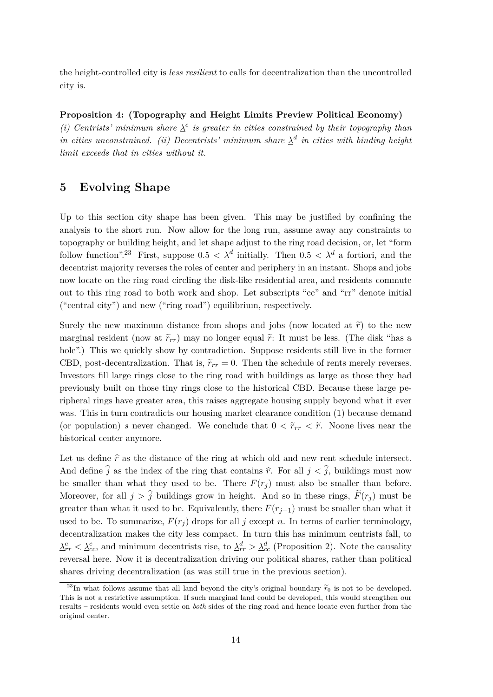the height-controlled city is *less resilient* to calls for decentralization than the uncontrolled city is.

**Proposition 4: (Topography and Height Limits Preview Political Economy)** *(i) Centrists' minimum share*  $\lambda^c$  *is greater in cities constrained by their topography than in cities unconstrained. (ii) Decentrists' minimum share*  $\lambda^d$  *in cities with binding height limit exceeds that in cities without it.*

## **5 Evolving Shape**

Up to this section city shape has been given. This may be justified by confining the analysis to the short run. Now allow for the long run, assume away any constraints to topography or building height, and let shape adjust to the ring road decision, or, let "form follow function".<sup>23</sup> First, suppose  $0.5 < \underline{\lambda}^d$  initially. Then  $0.5 < \lambda^d$  a fortiori, and the decentrist majority reverses the roles of center and periphery in an instant. Shops and jobs now locate on the ring road circling the disk-like residential area, and residents commute out to this ring road to both work and shop. Let subscripts "cc" and "rr" denote initial ("central city") and new ("ring road") equilibrium, respectively.

Surely the new maximum distance from shops and jobs (now located at  $\tilde{r}$ ) to the new marginal resident (now at  $\tilde{r}_{rr}$ ) may no longer equal  $\tilde{r}$ : It must be less. (The disk "has a hole".) This we quickly show by contradiction. Suppose residents still live in the former CBD, post-decentralization. That is,  $\tilde{r}_{rr} = 0$ . Then the schedule of rents merely reverses. Investors fill large rings close to the ring road with buildings as large as those they had previously built on those tiny rings close to the historical CBD. Because these large peripheral rings have greater area, this raises aggregate housing supply beyond what it ever was. This in turn contradicts our housing market clearance condition (1) because demand (or population) *s* never changed. We conclude that  $0 < \tilde{r}_{rr} < \tilde{r}$ . Noone lives near the historical center anymore.

Let us define  $\hat{r}$  as the distance of the ring at which old and new rent schedule intersect. And define  $\hat{j}$  as the index of the ring that contains  $\hat{r}$ . For all  $j < \hat{j}$ , buildings must now be smaller than what they used to be. There  $F(r_i)$  must also be smaller than before. Moreover, for all  $j > \hat{j}$  buildings grow in height. And so in these rings,  $\tilde{F}(r_i)$  must be greater than what it used to be. Equivalently, there  $F(r_{i-1})$  must be smaller than what it used to be. To summarize,  $F(r_i)$  drops for all *j* except *n*. In terms of earlier terminology, decentralization makes the city less compact. In turn this has minimum centrists fall, to  $\frac{\lambda_{rr}^c}{\lambda_{rc}} < \frac{\lambda_{cc}^c}{\lambda_{cc}}$ , and minimum decentrists rise, to  $\frac{\lambda_{rr}^d}{\lambda_{cc}} > \frac{\lambda_{cc}^d}{\lambda_{cc}}$  (Proposition 2). Note the causality reversal here. Now it is decentralization driving our political shares, rather than political shares driving decentralization (as was still true in the previous section).

<sup>&</sup>lt;sup>23</sup>In what follows assume that all land beyond the city's original boundary  $\widetilde{r}_0$  is not to be developed. This is not a restrictive assumption. If such marginal land could be developed, this would strengthen our results – residents would even settle on *both* sides of the ring road and hence locate even further from the original center.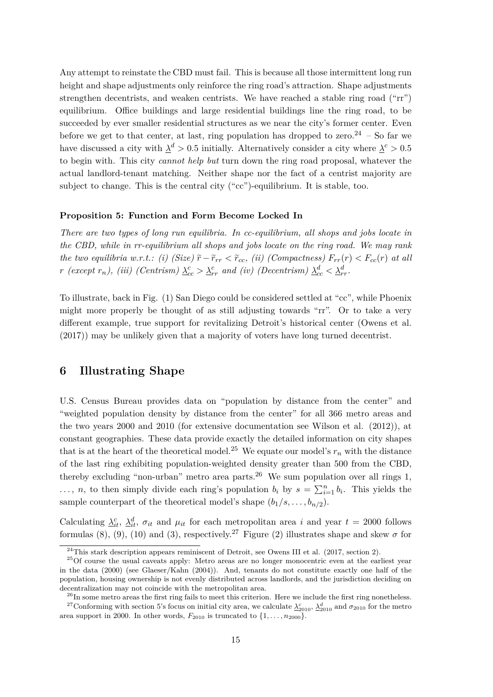Any attempt to reinstate the CBD must fail. This is because all those intermittent long run height and shape adjustments only reinforce the ring road's attraction. Shape adjustments strengthen decentrists, and weaken centrists. We have reached a stable ring road ("rr") equilibrium. Office buildings and large residential buildings line the ring road, to be succeeded by ever smaller residential structures as we near the city's former center. Even before we get to that center, at last, ring population has dropped to zero.<sup>24</sup> – So far we have discussed a city with  $\lambda^d > 0.5$  initially. Alternatively consider a city where  $\lambda^c > 0.5$ to begin with. This city *cannot help but* turn down the ring road proposal, whatever the actual landlord-tenant matching. Neither shape nor the fact of a centrist majority are subject to change. This is the central city ("cc")-equilibrium. It is stable, too.

#### **Proposition 5: Function and Form Become Locked In**

*There are two types of long run equilibria. In cc-equilibrium, all shops and jobs locate in the CBD, while in rr-equilibrium all shops and jobs locate on the ring road. We may rank the two equilibria w.r.t.: (i) (Size)*  $\tilde{r} - \tilde{r}_{rr} < \tilde{r}_{cc}$ , *(ii) (Compactness)*  $F_{rr}(r) < F_{cc}(r)$  *at all r* (except  $r_n$ ), (iii) (Centrism)  $\lambda_{cc}^c > \lambda_{rr}^c$  and (iv) (Decentrism)  $\lambda_{cc}^d < \lambda_{rr}^d$ .

To illustrate, back in Fig. (1) San Diego could be considered settled at "cc", while Phoenix might more properly be thought of as still adjusting towards "rr". Or to take a very different example, true support for revitalizing Detroit's historical center (Owens et al. (2017)) may be unlikely given that a majority of voters have long turned decentrist.

### **6 Illustrating Shape**

U.S. Census Bureau provides data on "population by distance from the center" and "weighted population density by distance from the center" for all 366 metro areas and the two years 2000 and 2010 (for extensive documentation see Wilson et al. (2012)), at constant geographies. These data provide exactly the detailed information on city shapes that is at the heart of the theoretical model.<sup>25</sup> We equate our model's  $r_n$  with the distance of the last ring exhibiting population-weighted density greater than 500 from the CBD, thereby excluding "non-urban" metro area parts.<sup>26</sup> We sum population over all rings 1, ..., *n*, to then simply divide each ring's population  $b_i$  by  $s = \sum_{i=1}^n b_i$ . This yields the sample counterpart of the theoretical model's shape  $(b_1/s, \ldots, b_{n/2})$ .

Calculating  $\lambda_{it}^c$ ,  $\lambda_{it}^d$ ,  $\sigma_{it}$  and  $\mu_{it}$  for each metropolitan area *i* and year  $t = 2000$  follows formulas (8), (9), (10) and (3), respectively.<sup>27</sup> Figure (2) illustrates shape and skew  $\sigma$  for

 $^{24}$ This stark description appears reminiscent of Detroit, see Owens III et al. (2017, section 2).

 $25$ Of course the usual caveats apply: Metro areas are no longer monocentric even at the earliest year in the data (2000) (see Glaeser/Kahn (2004)). And, tenants do not constitute exactly one half of the population, housing ownership is not evenly distributed across landlords, and the jurisdiction deciding on decentralization may not coincide with the metropolitan area.

<sup>&</sup>lt;sup>26</sup>In some metro areas the first ring fails to meet this criterion. Here we include the first ring nonetheless.

<sup>&</sup>lt;sup>27</sup>Conforming with section 5's focus on initial city area, we calculate  $\frac{\lambda_{2010}^c}{\lambda_{2010}^d}$  and  $\sigma_{2010}$  for the metro area support in 2000. In other words,  $F_{2010}$  is truncated to  $\{1, \ldots, n_{2000}\}.$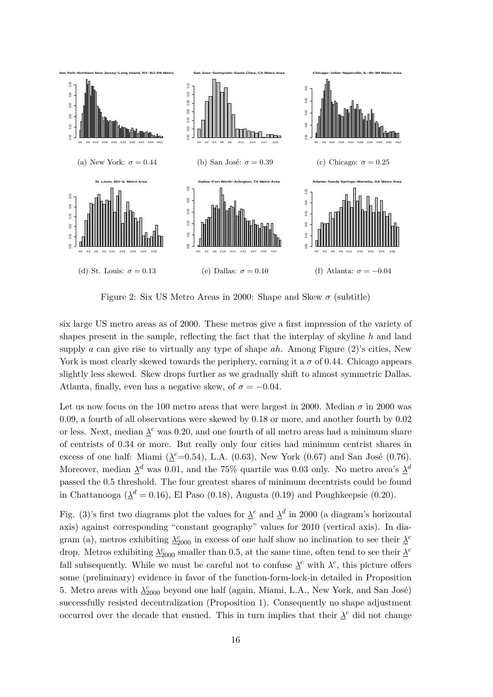

Figure 2: Six US Metro Areas in 2000: Shape and Skew  $\sigma$  (subtitle)

six large US metro areas as of 2000. These metros give a first impression of the variety of shapes present in the sample, reflecting the fact that the interplay of skyline *h* and land supply *a* can give rise to virtually any type of shape *ah*. Among Figure (2)'s cities, New York is most clearly skewed towards the periphery, earning it a  $\sigma$  of 0.44. Chicago appears slightly less skewed. Skew drops further as we gradually shift to almost symmetric Dallas. Atlanta, finally, even has a negative skew, of  $\sigma = -0.04$ .

Let us now focus on the 100 metro areas that were largest in 2000. Median  $\sigma$  in 2000 was 0*.*09, a fourth of all observations were skewed by 0.18 or more, and another fourth by 0.02 or less. Next, median  $\lambda^c$  was 0.20, and one fourth of all metro areas had a minimum share of centrists of 0.34 or more. But really only four cities had minimum centrist shares in excess of one half: Miami  $(\underline{\lambda}^c=0.54)$ , L.A. (0.63), New York (0.67) and San José (0.76). Moreover, median  $\Delta^d$  was 0.01, and the 75% quartile was 0.03 only. No metro area's  $\Delta^d$ passed the 0.5 threshold. The four greatest shares of minimum decentrists could be found in Chattanooga ( $\lambda^d = 0.16$ ), El Paso (0.18), Augusta (0.19) and Poughkeepsie (0.20).

Fig. (3)'s first two diagrams plot the values for  $\lambda^c$  and  $\lambda^d$  in 2000 (a diagram's horizontal axis) against corresponding "constant geography" values for 2010 (vertical axis). In diagram (a), metros exhibiting  $\lambda_{2000}^c$  in excess of one half show no inclination to see their  $\lambda^c$ drop. Metros exhibiting  $\lambda_{2000}^c$  smaller than 0.5, at the same time, often tend to see their  $\lambda^c$ fall subsequently. While we must be careful not to confuse  $\lambda^c$  with  $\lambda^c$ , this picture offers some (preliminary) evidence in favor of the function-form-lock-in detailed in Proposition 5. Metro areas with  $\lambda_{2000}^c$  beyond one half (again, Miami, L.A., New York, and San José) successfully resisted decentralization (Proposition 1). Consequently no shape adjustment occurred over the decade that ensued. This in turn implies that their  $\lambda^c$  did not change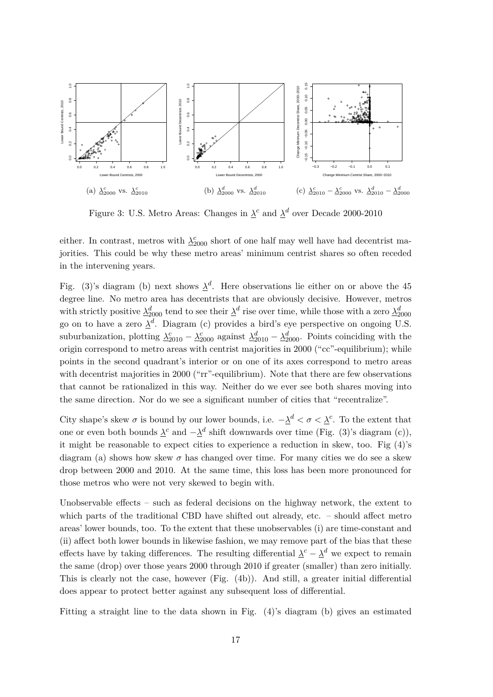

Figure 3: U.S. Metro Areas: Changes in  $\lambda^c$  and  $\lambda^d$  over Decade 2000-2010

either. In contrast, metros with  $\lambda_{2000}^c$  short of one half may well have had decentrist majorities. This could be why these metro areas' minimum centrist shares so often receded in the intervening years.

Fig. (3)'s diagram (b) next shows  $\lambda^d$ . Here observations lie either on or above the 45 degree line. No metro area has decentrists that are obviously decisive. However, metros with strictly positive  $\lambda_{2000}^d$  tend to see their  $\lambda^d$  rise over time, while those with a zero  $\lambda_{2000}^d$ go on to have a zero  $\lambda^d$ . Diagram (c) provides a bird's eye perspective on ongoing U.S. suburbanization, plotting  $\lambda_{2010}^c - \lambda_{2000}^c$  against  $\lambda_{2010}^d - \lambda_{2000}^d$ . Points coinciding with the origin correspond to metro areas with centrist majorities in 2000 ("cc"-equilibrium); while points in the second quadrant's interior or on one of its axes correspond to metro areas with decentrist majorities in 2000 ("rr"-equilibrium). Note that there are few observations that cannot be rationalized in this way. Neither do we ever see both shares moving into the same direction. Nor do we see a significant number of cities that "recentralize".

City shape's skew  $\sigma$  is bound by our lower bounds, i.e.  $-\underline{\lambda}^d < \sigma < \underline{\lambda}^c$ . To the extent that one or even both bounds  $\lambda^c$  and  $-\lambda^d$  shift downwards over time (Fig. (3)'s diagram (c)), it might be reasonable to expect cities to experience a reduction in skew, too. Fig (4)'s diagram (a) shows how skew  $\sigma$  has changed over time. For many cities we do see a skew drop between 2000 and 2010. At the same time, this loss has been more pronounced for those metros who were not very skewed to begin with.

Unobservable effects – such as federal decisions on the highway network, the extent to which parts of the traditional CBD have shifted out already, etc. – should affect metro areas' lower bounds, too. To the extent that these unobservables (i) are time-constant and (ii) affect both lower bounds in likewise fashion, we may remove part of the bias that these effects have by taking differences. The resulting differential  $\lambda^{c} - \lambda^{d}$  we expect to remain the same (drop) over those years 2000 through 2010 if greater (smaller) than zero initially. This is clearly not the case, however (Fig. (4b)). And still, a greater initial differential does appear to protect better against any subsequent loss of differential.

Fitting a straight line to the data shown in Fig. (4)'s diagram (b) gives an estimated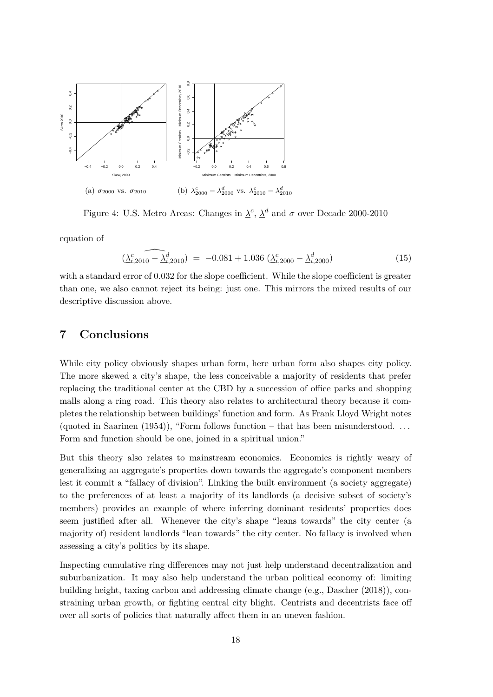

Figure 4: U.S. Metro Areas: Changes in  $\lambda^c$ ,  $\lambda^d$  and  $\sigma$  over Decade 2000-2010

equation of

$$
\widehat{(\Delta_{i,2010}^c - \Delta_{i,2010}^d)} = -0.081 + 1.036 \left(\Delta_{i,2000}^c - \Delta_{i,2000}^d\right)
$$
\n(15)

with a standard error of  $0.032$  for the slope coefficient. While the slope coefficient is greater than one, we also cannot reject its being: just one. This mirrors the mixed results of our descriptive discussion above.

## **7 Conclusions**

While city policy obviously shapes urban form, here urban form also shapes city policy. The more skewed a city's shape, the less conceivable a majority of residents that prefer replacing the traditional center at the CBD by a succession of office parks and shopping malls along a ring road. This theory also relates to architectural theory because it completes the relationship between buildings' function and form. As Frank Lloyd Wright notes (quoted in Saarinen (1954)), "Form follows function – that has been misunderstood.  $\dots$ Form and function should be one, joined in a spiritual union."

But this theory also relates to mainstream economics. Economics is rightly weary of generalizing an aggregate's properties down towards the aggregate's component members lest it commit a "fallacy of division". Linking the built environment (a society aggregate) to the preferences of at least a majority of its landlords (a decisive subset of society's members) provides an example of where inferring dominant residents' properties does seem justified after all. Whenever the city's shape "leans towards" the city center (a majority of) resident landlords "lean towards" the city center. No fallacy is involved when assessing a city's politics by its shape.

Inspecting cumulative ring differences may not just help understand decentralization and suburbanization. It may also help understand the urban political economy of: limiting building height, taxing carbon and addressing climate change (e.g., Dascher (2018)), constraining urban growth, or fighting central city blight. Centrists and decentrists face off over all sorts of policies that naturally affect them in an uneven fashion.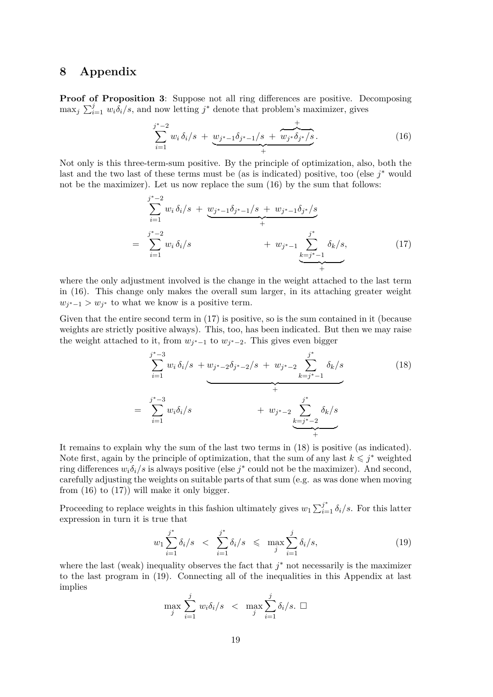### **8 Appendix**

**Proof of Proposition 3:** Suppose not all ring differences are positive. Decomposing  $\max_j \sum_{i=1}^j w_i \delta_i / s$ , and now letting  $j^*$  denote that problem's maximizer, gives

$$
\sum_{i=1}^{j^*-2} w_i \,\delta_i/s \; + \; \underbrace{w_{j^*-1}\delta_{j^*-1}/s \; + \; \overbrace{w_{j^*}\delta_{j^*}/s}^{+}}_{+} \,. \tag{16}
$$

Not only is this three-term-sum positive. By the principle of optimization, also, both the last and the two last of these terms must be (as is indicated) positive, too (else *j* <sup>∗</sup> would not be the maximizer). Let us now replace the sum (16) by the sum that follows:

$$
\sum_{i=1}^{j^*-2} w_i \, \delta_i/s \ + \ \underbrace{w_{j^*-1} \delta_{j^*-1}/s + w_{j^*-1} \delta_{j^*}/s}_{+} \\ = \sum_{i=1}^{j^*-2} w_i \, \delta_i/s \qquad + \ w_{j^*-1} \underbrace{\sum_{k=j^*-1}^{j^*} \delta_k/s}_{+}, \qquad (17)
$$

where the only adjustment involved is the change in the weight attached to the last term in (16). This change only makes the overall sum larger, in its attaching greater weight  $w_{j^*-1} > w_{j^*}$  to what we know is a positive term.

Given that the entire second term in  $(17)$  is positive, so is the sum contained in it (because weights are strictly positive always). This, too, has been indicated. But then we may raise the weight attached to it, from  $w_{j^*-1}$  to  $w_{j^*-2}$ . This gives even bigger

$$
\sum_{i=1}^{j^*-3} w_i \delta_i / s + w_{j^*-2} \delta_{j^*-2} / s + w_{j^*-2} \sum_{k=j^*-1}^{j^*} \delta_k / s
$$
\n
$$
= \sum_{i=1}^{j^*-3} w_i \delta_i / s + w_{j^*-2} \sum_{k=j^*-2}^{j^*} \delta_k / s
$$
\n(18)

It remains to explain why the sum of the last two terms in (18) is positive (as indicated). Note first, again by the principle of optimization, that the sum of any last  $k \leq j^*$  weighted ring differences  $w_i \delta_i / s$  is always positive (else  $j^*$  could not be the maximizer). And second, carefully adjusting the weights on suitable parts of that sum (e.g. as was done when moving from  $(16)$  to  $(17)$ ) will make it only bigger.

Proceeding to replace weights in this fashion ultimately gives  $w_1 \sum_{i=1}^{j^*} \delta_i / s$ . For this latter expression in turn it is true that

$$
w_1 \sum_{i=1}^{j^*} \delta_i / s \ \ < \ \sum_{i=1}^{j^*} \delta_i / s \ \ < \ \max_j \sum_{i=1}^{j} \delta_i / s, \tag{19}
$$

where the last (weak) inequality observes the fact that  $j^*$  not necessarily is the maximizer to the last program in (19). Connecting all of the inequalities in this Appendix at last implies

$$
\max_{j} \sum_{i=1}^{j} w_i \delta_i / s \quad < \quad \max_{j} \sum_{i=1}^{j} \delta_i / s. \ \Box
$$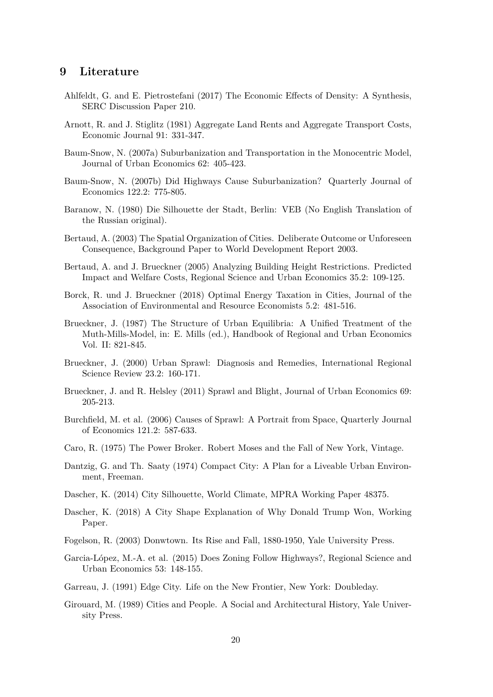### **9 Literature**

- Ahlfeldt, G. and E. Pietrostefani (2017) The Economic Effects of Density: A Synthesis, SERC Discussion Paper 210.
- Arnott, R. and J. Stiglitz (1981) Aggregate Land Rents and Aggregate Transport Costs, Economic Journal 91: 331-347.
- Baum-Snow, N. (2007a) Suburbanization and Transportation in the Monocentric Model, Journal of Urban Economics 62: 405-423.
- Baum-Snow, N. (2007b) Did Highways Cause Suburbanization? Quarterly Journal of Economics 122.2: 775-805.
- Baranow, N. (1980) Die Silhouette der Stadt, Berlin: VEB (No English Translation of the Russian original).
- Bertaud, A. (2003) The Spatial Organization of Cities. Deliberate Outcome or Unforeseen Consequence, Background Paper to World Development Report 2003.
- Bertaud, A. and J. Brueckner (2005) Analyzing Building Height Restrictions. Predicted Impact and Welfare Costs, Regional Science and Urban Economics 35.2: 109-125.
- Borck, R. und J. Brueckner (2018) Optimal Energy Taxation in Cities, Journal of the Association of Environmental and Resource Economists 5.2: 481-516.
- Brueckner, J. (1987) The Structure of Urban Equilibria: A Unified Treatment of the Muth-Mills-Model, in: E. Mills (ed.), Handbook of Regional and Urban Economics Vol. II: 821-845.
- Brueckner, J. (2000) Urban Sprawl: Diagnosis and Remedies, International Regional Science Review 23.2: 160-171.
- Brueckner, J. and R. Helsley (2011) Sprawl and Blight, Journal of Urban Economics 69: 205-213.
- Burchfield, M. et al. (2006) Causes of Sprawl: A Portrait from Space, Quarterly Journal of Economics 121.2: 587-633.
- Caro, R. (1975) The Power Broker. Robert Moses and the Fall of New York, Vintage.
- Dantzig, G. and Th. Saaty (1974) Compact City: A Plan for a Liveable Urban Environment, Freeman.
- Dascher, K. (2014) City Silhouette, World Climate, MPRA Working Paper 48375.
- Dascher, K. (2018) A City Shape Explanation of Why Donald Trump Won, Working Paper.
- Fogelson, R. (2003) Donwtown. Its Rise and Fall, 1880-1950, Yale University Press.
- Garcia-López, M.-A. et al. (2015) Does Zoning Follow Highways?, Regional Science and Urban Economics 53: 148-155.
- Garreau, J. (1991) Edge City. Life on the New Frontier, New York: Doubleday.
- Girouard, M. (1989) Cities and People. A Social and Architectural History, Yale University Press.